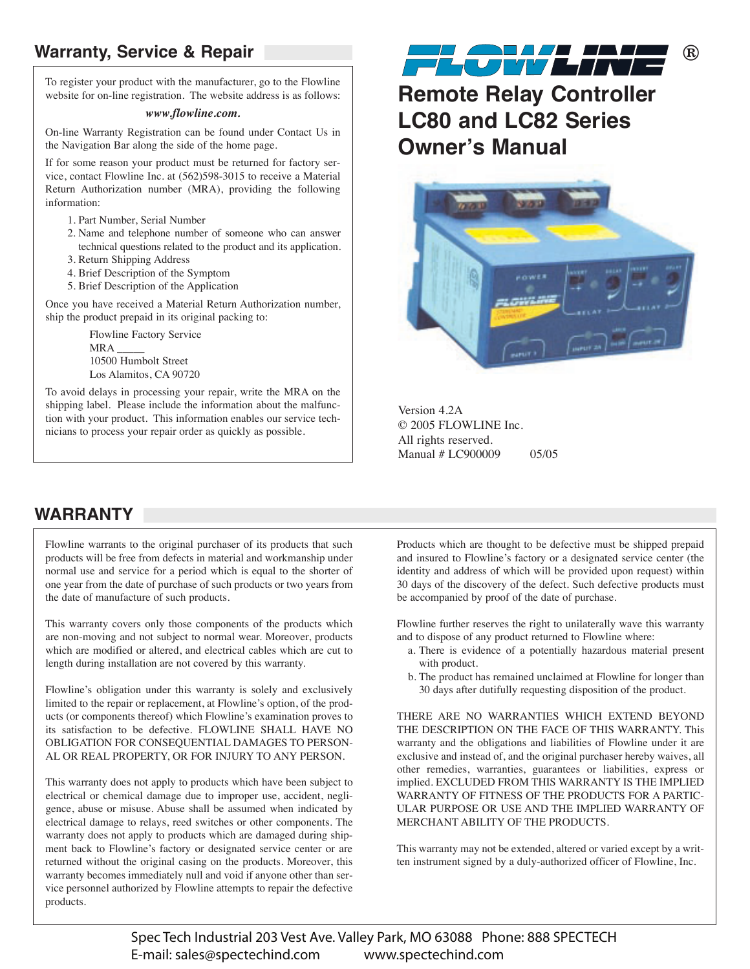## **Warranty, Service & Repair**

To register your product with the manufacturer, go to the Flowline website for on-line registration. The website address is as follows:

#### *www.flowline.com.*

On-line Warranty Registration can be found under Contact Us in the Navigation Bar along the side of the home page.

If for some reason your product must be returned for factory service, contact Flowline Inc. at (562)598-3015 to receive a Material Return Authorization number (MRA), providing the following information:

- 1. Part Number, Serial Number
- 2. Name and telephone number of someone who can answer technical questions related to the product and its application.
- 3. Return Shipping Address
- 4. Brief Description of the Symptom
- 5. Brief Description of the Application

Once you have received a Material Return Authorization number, ship the product prepaid in its original packing to:

> Flowline Factory Service MRA 10500 Humbolt Street Los Alamitos, CA 90720

To avoid delays in processing your repair, write the MRA on the shipping label. Please include the information about the malfunction with your product. This information enables our service technicians to process your repair order as quickly as possible.



**Remote Relay Controller LC80 and LC82 Series Owner's Manual**



Version 4.2A © 2005 FLOWLINE Inc. All rights reserved. Manual # LC900009 05/05

## **WARRANTY**

Flowline warrants to the original purchaser of its products that such products will be free from defects in material and workmanship under normal use and service for a period which is equal to the shorter of one year from the date of purchase of such products or two years from the date of manufacture of such products.

This warranty covers only those components of the products which are non-moving and not subject to normal wear. Moreover, products which are modified or altered, and electrical cables which are cut to length during installation are not covered by this warranty.

Flowline's obligation under this warranty is solely and exclusively limited to the repair or replacement, at Flowline's option, of the products (or components thereof) which Flowline's examination proves to its satisfaction to be defective. FLOWLINE SHALL HAVE NO OBLIGATION FOR CONSEQUENTIAL DAMAGES TO PERSON-AL OR REAL PROPERTY, OR FOR INJURY TO ANY PERSON.

This warranty does not apply to products which have been subject to electrical or chemical damage due to improper use, accident, negligence, abuse or misuse. Abuse shall be assumed when indicated by electrical damage to relays, reed switches or other components. The warranty does not apply to products which are damaged during shipment back to Flowline's factory or designated service center or are returned without the original casing on the products. Moreover, this warranty becomes immediately null and void if anyone other than service personnel authorized by Flowline attempts to repair the defective products.

Products which are thought to be defective must be shipped prepaid and insured to Flowline's factory or a designated service center (the identity and address of which will be provided upon request) within 30 days of the discovery of the defect. Such defective products must be accompanied by proof of the date of purchase.

Flowline further reserves the right to unilaterally wave this warranty and to dispose of any product returned to Flowline where:

- a. There is evidence of a potentially hazardous material present with product.
- b. The product has remained unclaimed at Flowline for longer than 30 days after dutifully requesting disposition of the product.

THERE ARE NO WARRANTIES WHICH EXTEND BEYOND THE DESCRIPTION ON THE FACE OF THIS WARRANTY. This warranty and the obligations and liabilities of Flowline under it are exclusive and instead of, and the original purchaser hereby waives, all other remedies, warranties, guarantees or liabilities, express or implied. EXCLUDED FROM THIS WARRANTY IS THE IMPLIED WARRANTY OF FITNESS OF THE PRODUCTS FOR A PARTIC-ULAR PURPOSE OR USE AND THE IMPLIED WARRANTY OF MERCHANT ABILITY OF THE PRODUCTS.

This warranty may not be extended, altered or varied except by a written instrument signed by a duly-authorized officer of Flowline, Inc.

Spec Tech Industrial 203 Vest Ave. Valley Park, MO 63088 Phone: 888 SPECTECH E-mail: sales@spectechind.com www.spectechind.com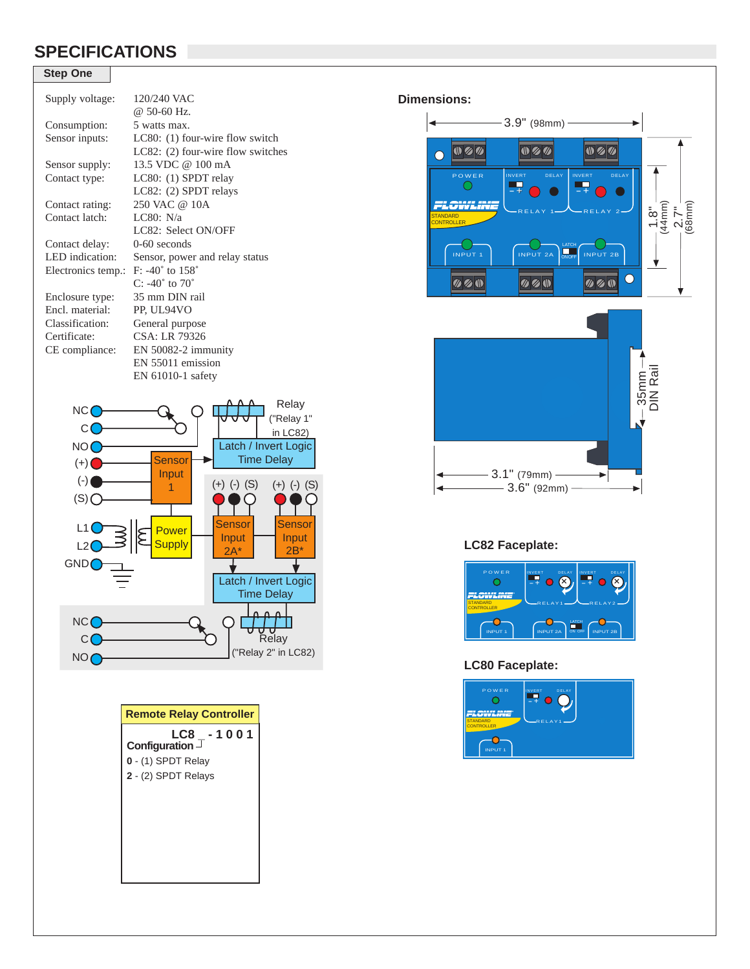## **SPECIFICATIONS**

### **Step One**

| Supply voltage:    | $120/240$ VAC<br>@ 50-60 Hz.        |
|--------------------|-------------------------------------|
|                    |                                     |
| Consumption:       | 5 watts max.                        |
| Sensor inputs:     | LC80: $(1)$ four-wire flow switch   |
|                    | LC82: $(2)$ four-wire flow switches |
| Sensor supply:     | 13.5 VDC $@100 \text{ mA}$          |
| Contact type:      | LC80: $(1)$ SPDT relay              |
|                    | LC82: (2) SPDT relays               |
| Contact rating:    | 250 VAC @ 10A                       |
| Contact latch:     | LC80: $N/a$                         |
|                    | LC82: Select ON/OFF                 |
| Contact delay:     | $0-60$ seconds                      |
| LED indication:    | Sensor, power and relay status      |
| Electronics temp.: | $F: -40^{\circ}$ to $158^{\circ}$   |
|                    | $C: -40^{\circ}$ to $70^{\circ}$    |
| Enclosure type:    | 35 mm DIN rail                      |
| Encl. material:    | PP, UL94VO                          |
| Classification:    | General purpose                     |
| Certificate:       | CSA: LR 79326                       |
| CE compliance:     | $EN$ 50082-2 immunity               |
|                    | EN 55011 emission                   |
|                    | $EN 61010-1$ safety                 |
|                    |                                     |



| <b>Remote Relay Controller</b>               |  |
|----------------------------------------------|--|
| LC8 -1001<br>Configuration $\mathsf{\Gamma}$ |  |
| 0 - (1) SPDT Relay                           |  |
| 2 - (2) SPDT Relays                          |  |
|                                              |  |
|                                              |  |
|                                              |  |



### **LC82 Faceplate:**



 $-3.6"$  (92mm)  $-$ 

#### **LC80 Faceplate:**

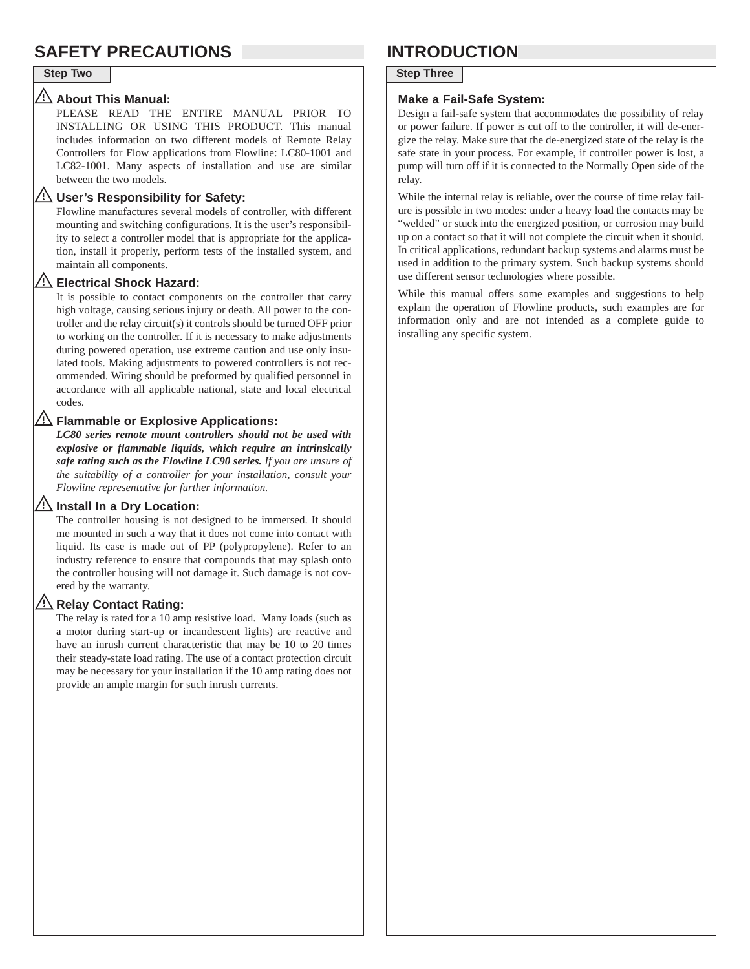## **SAFETY PRECAUTIONS INTRODUCTION**

### **About This Manual:**

PLEASE READ THE ENTIRE MANUAL PRIOR TO INSTALLING OR USING THIS PRODUCT. This manual includes information on two different models of Remote Relay Controllers for Flow applications from Flowline: LC80-1001 and LC82-1001. Many aspects of installation and use are similar between the two models.

#### **User's Responsibility for Safety:**

Flowline manufactures several models of controller, with different mounting and switching configurations. It is the user's responsibility to select a controller model that is appropriate for the application, install it properly, perform tests of the installed system, and maintain all components.

#### **Electrical Shock Hazard:**

It is possible to contact components on the controller that carry high voltage, causing serious injury or death. All power to the controller and the relay circuit(s) it controls should be turned OFF prior to working on the controller. If it is necessary to make adjustments during powered operation, use extreme caution and use only insulated tools. Making adjustments to powered controllers is not recommended. Wiring should be preformed by qualified personnel in accordance with all applicable national, state and local electrical codes.

#### **Flammable or Explosive Applications:**

*LC80 series remote mount controllers should not be used with explosive or flammable liquids, which require an intrinsically safe rating such as the Flowline LC90 series. If you are unsure of the suitability of a controller for your installation, consult your Flowline representative for further information.*

#### **Install In a Dry Location:**

The controller housing is not designed to be immersed. It should me mounted in such a way that it does not come into contact with liquid. Its case is made out of PP (polypropylene). Refer to an industry reference to ensure that compounds that may splash onto the controller housing will not damage it. Such damage is not covered by the warranty.

#### **Relay Contact Rating:**

The relay is rated for a 10 amp resistive load. Many loads (such as a motor during start-up or incandescent lights) are reactive and have an inrush current characteristic that may be 10 to 20 times their steady-state load rating. The use of a contact protection circuit may be necessary for your installation if the 10 amp rating does not provide an ample margin for such inrush currents.

### **Step Two Step Three**

#### **Make a Fail-Safe System:**

Design a fail-safe system that accommodates the possibility of relay or power failure. If power is cut off to the controller, it will de-energize the relay. Make sure that the de-energized state of the relay is the safe state in your process. For example, if controller power is lost, a pump will turn off if it is connected to the Normally Open side of the relay.

While the internal relay is reliable, over the course of time relay failure is possible in two modes: under a heavy load the contacts may be "welded" or stuck into the energized position, or corrosion may build up on a contact so that it will not complete the circuit when it should. In critical applications, redundant backup systems and alarms must be used in addition to the primary system. Such backup systems should use different sensor technologies where possible.

While this manual offers some examples and suggestions to help explain the operation of Flowline products, such examples are for information only and are not intended as a complete guide to installing any specific system.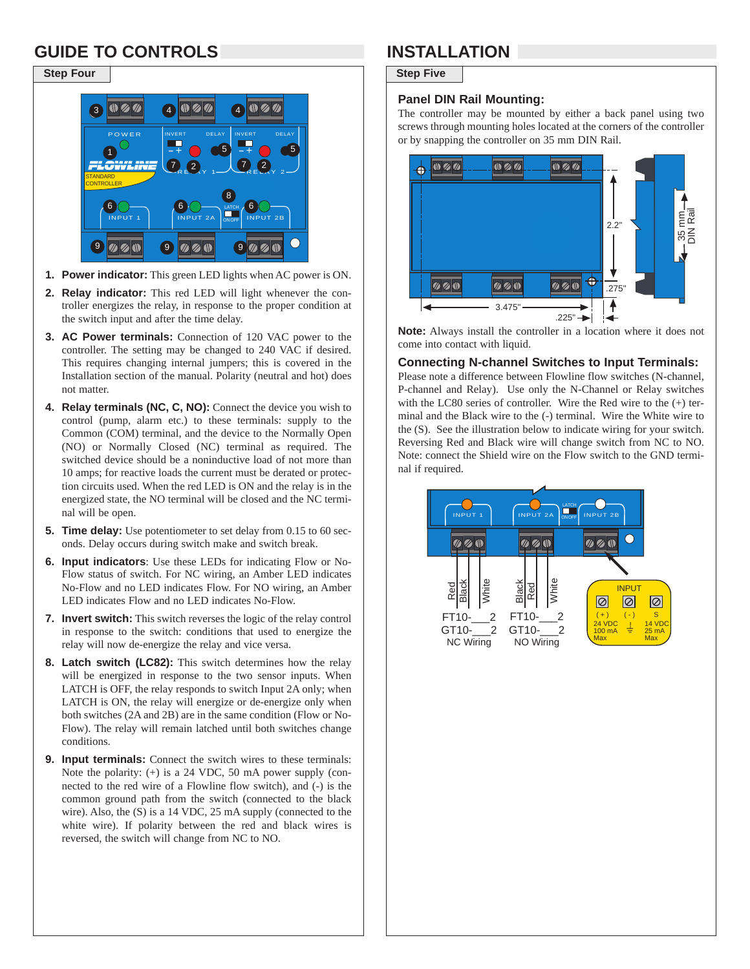# **GUIDE TO CONTROLS INSTALLATION**

### **Step Four** Step Five



- **1. Power indicator:** This green LED lights when AC power is ON.
- **2. Relay indicator:** This red LED will light whenever the controller energizes the relay, in response to the proper condition at the switch input and after the time delay.
- **3. AC Power terminals:** Connection of 120 VAC power to the controller. The setting may be changed to 240 VAC if desired. This requires changing internal jumpers; this is covered in the Installation section of the manual. Polarity (neutral and hot) does not matter.
- **4. Relay terminals (NC, C, NO):** Connect the device you wish to control (pump, alarm etc.) to these terminals: supply to the Common (COM) terminal, and the device to the Normally Open (NO) or Normally Closed (NC) terminal as required. The switched device should be a noninductive load of not more than 10 amps; for reactive loads the current must be derated or protection circuits used. When the red LED is ON and the relay is in the energized state, the NO terminal will be closed and the NC terminal will be open.
- **5. Time delay:** Use potentiometer to set delay from 0.15 to 60 seconds. Delay occurs during switch make and switch break.
- **6. Input indicators**: Use these LEDs for indicating Flow or No-Flow status of switch. For NC wiring, an Amber LED indicates No-Flow and no LED indicates Flow. For NO wiring, an Amber LED indicates Flow and no LED indicates No-Flow.
- **7. Invert switch:** This switch reverses the logic of the relay control in response to the switch: conditions that used to energize the relay will now de-energize the relay and vice versa.
- **8. Latch switch (LC82):** This switch determines how the relay will be energized in response to the two sensor inputs. When LATCH is OFF, the relay responds to switch Input 2A only; when LATCH is ON, the relay will energize or de-energize only when both switches (2A and 2B) are in the same condition (Flow or No-Flow). The relay will remain latched until both switches change conditions.
- **9. Input terminals:** Connect the switch wires to these terminals: Note the polarity: (+) is a 24 VDC, 50 mA power supply (connected to the red wire of a Flowline flow switch), and (-) is the common ground path from the switch (connected to the black wire). Also, the (S) is a 14 VDC, 25 mA supply (connected to the white wire). If polarity between the red and black wires is reversed, the switch will change from NC to NO.

#### **Panel DIN Rail Mounting:**

The controller may be mounted by either a back panel using two screws through mounting holes located at the corners of the controller or by snapping the controller on 35 mm DIN Rail.



**Note:** Always install the controller in a location where it does not come into contact with liquid.

#### **Connecting N-channel Switches to Input Terminals:**

Please note a difference between Flowline flow switches (N-channel, P-channel and Relay). Use only the N-Channel or Relay switches with the LC80 series of controller. Wire the Red wire to the (+) terminal and the Black wire to the (-) terminal. Wire the White wire to the (S). See the illustration below to indicate wiring for your switch. Reversing Red and Black wire will change switch from NC to NO. Note: connect the Shield wire on the Flow switch to the GND terminal if required.

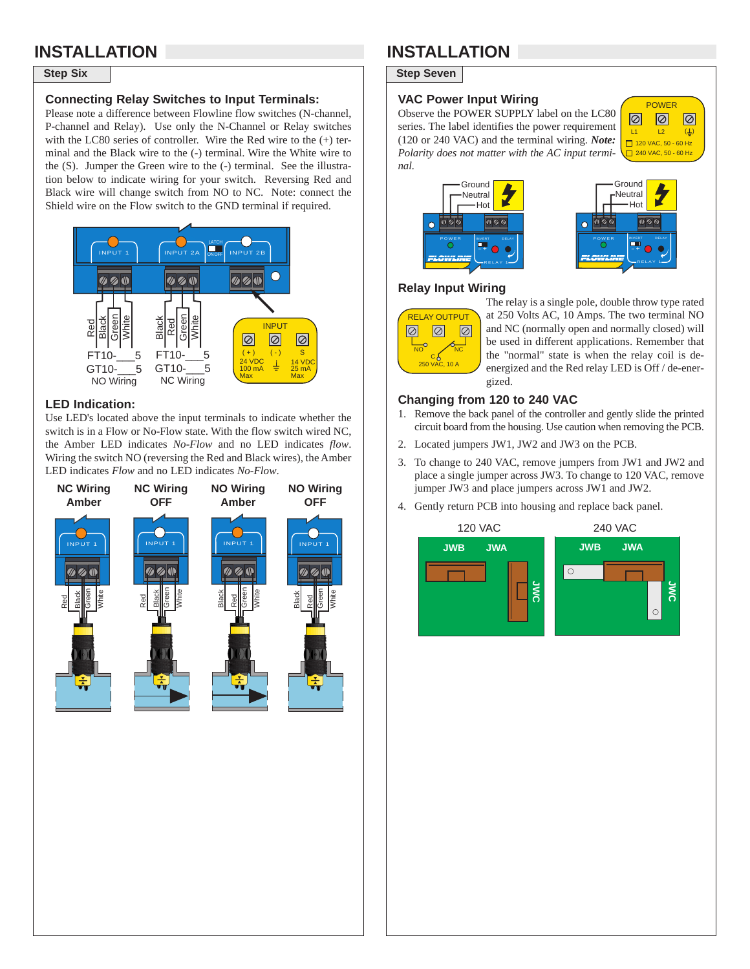## **INSTALLATION**

#### **Connecting Relay Switches to Input Terminals:**

Please note a difference between Flowline flow switches (N-channel, P-channel and Relay). Use only the N-Channel or Relay switches with the LC80 series of controller. Wire the Red wire to the (+) terminal and the Black wire to the (-) terminal. Wire the White wire to the (S). Jumper the Green wire to the (-) terminal. See the illustration below to indicate wiring for your switch. Reversing Red and Black wire will change switch from NO to NC. Note: connect the Shield wire on the Flow switch to the GND terminal if required.



#### **LED Indication:**

Use LED's located above the input terminals to indicate whether the switch is in a Flow or No-Flow state. With the flow switch wired NC, the Amber LED indicates *No-Flow* and no LED indicates *flow*. Wiring the switch NO (reversing the Red and Black wires), the Amber LED indicates *Flow* and no LED indicates *No-Flow*.



## **INSTALLATION**

**Step Six** Step Seven

#### **VAC Power Input Wiring**

Observe the POWER SUPPLY label on the LC80 series. The label identifies the power requirement (120 or 240 VAC) and the terminal wiring. *Note: Polarity does not matter with the AC input terminal.*







#### **Relay Input Wiring**



The relay is a single pole, double throw type rated at 250 Volts AC, 10 Amps. The two terminal NO and NC (normally open and normally closed) will be used in different applications. Remember that the "normal" state is when the relay coil is deenergized and the Red relay LED is Off / de-energized.

#### **Changing from 120 to 240 VAC**

- 1. Remove the back panel of the controller and gently slide the printed circuit board from the housing. Use caution when removing the PCB.
- 2. Located jumpers JW1, JW2 and JW3 on the PCB.
- 3. To change to 240 VAC, remove jumpers from JW1 and JW2 and place a single jumper across JW3. To change to 120 VAC, remove jumper JW3 and place jumpers across JW1 and JW2.
- 4. Gently return PCB into housing and replace back panel.